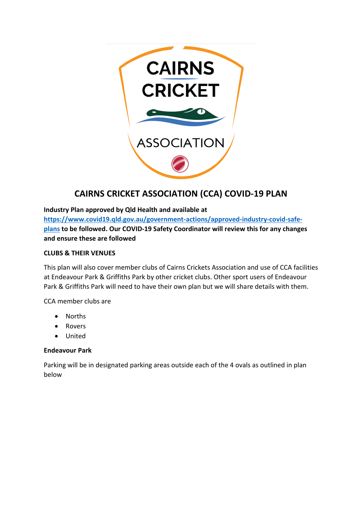

# **CAIRNS CRICKET ASSOCIATION (CCA) COVID-19 PLAN**

**Industry Plan approved by Qld Health and available at [https://www.covid19.qld.gov.au/government-actions/approved-industry-covid-safe](about:blank)[plans](about:blank) to be followed. Our COVID-19 Safety Coordinator will review this for any changes and ensure these are followed**

# **CLUBS & THEIR VENUES**

This plan will also cover member clubs of Cairns Crickets Association and use of CCA facilities at Endeavour Park & Griffiths Park by other cricket clubs. Other sport users of Endeavour Park & Griffiths Park will need to have their own plan but we will share details with them.

CCA member clubs are

- Norths
- Rovers
- United

## **Endeavour Park**

Parking will be in designated parking areas outside each of the 4 ovals as outlined in plan below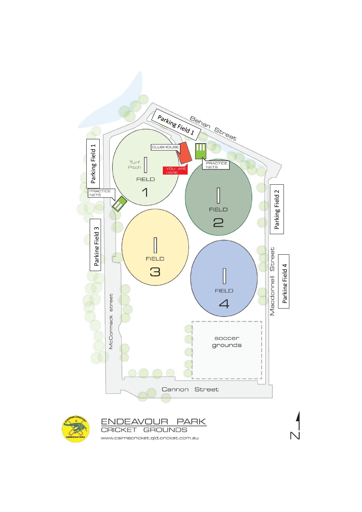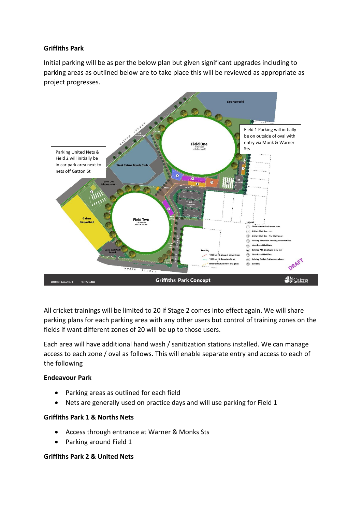## **Griffiths Park**

Initial parking will be as per the below plan but given significant upgrades including to parking areas as outlined below are to take place this will be reviewed as appropriate as project progresses.



All cricket trainings will be limited to 20 if Stage 2 comes into effect again. We will share parking plans for each parking area with any other users but control of training zones on the fields if want different zones of 20 will be up to those users.

Each area will have additional hand wash / sanitization stations installed. We can manage access to each zone / oval as follows. This will enable separate entry and access to each of the following

#### **Endeavour Park**

- Parking areas as outlined for each field
- Nets are generally used on practice days and will use parking for Field 1

#### **Griffiths Park 1 & Norths Nets**

- Access through entrance at Warner & Monks Sts
- Parking around Field 1

#### **Griffiths Park 2 & United Nets**